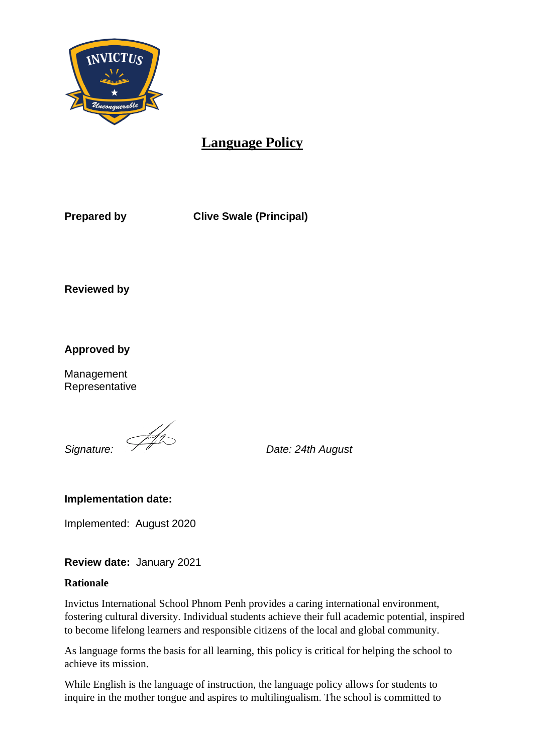

# **Language Policy**

**Prepared by Clive Swale (Principal)** 

**Reviewed by**

**Approved by**

Management Representative

*Signature: Date: 24th August*

**Implementation date:** 

Implemented: August 2020

**Review date:** January 2021

### **Rationale**

Invictus International School Phnom Penh provides a caring international environment, fostering cultural diversity. Individual students achieve their full academic potential, inspired to become lifelong learners and responsible citizens of the local and global community.

As language forms the basis for all learning, this policy is critical for helping the school to achieve its mission.

While English is the language of instruction, the language policy allows for students to inquire in the mother tongue and aspires to multilingualism. The school is committed to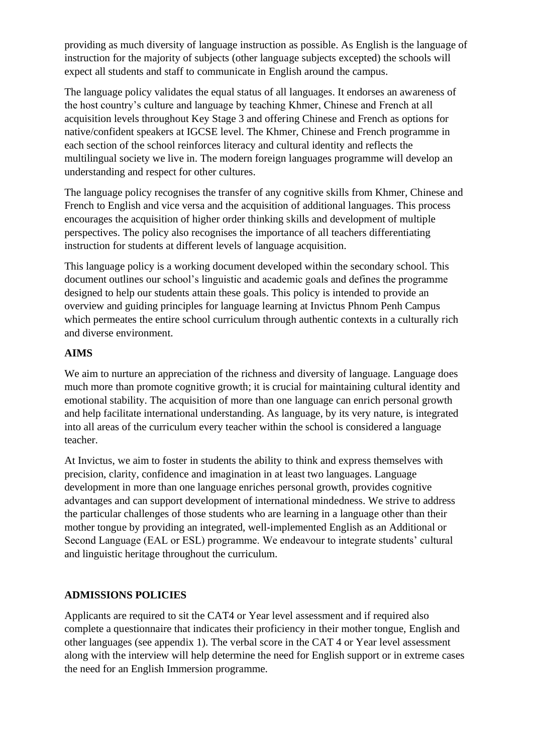providing as much diversity of language instruction as possible. As English is the language of instruction for the majority of subjects (other language subjects excepted) the schools will expect all students and staff to communicate in English around the campus.

The language policy validates the equal status of all languages. It endorses an awareness of the host country's culture and language by teaching Khmer, Chinese and French at all acquisition levels throughout Key Stage 3 and offering Chinese and French as options for native/confident speakers at IGCSE level. The Khmer, Chinese and French programme in each section of the school reinforces literacy and cultural identity and reflects the multilingual society we live in. The modern foreign languages programme will develop an understanding and respect for other cultures.

The language policy recognises the transfer of any cognitive skills from Khmer, Chinese and French to English and vice versa and the acquisition of additional languages. This process encourages the acquisition of higher order thinking skills and development of multiple perspectives. The policy also recognises the importance of all teachers differentiating instruction for students at different levels of language acquisition.

This language policy is a working document developed within the secondary school. This document outlines our school's linguistic and academic goals and defines the programme designed to help our students attain these goals. This policy is intended to provide an overview and guiding principles for language learning at Invictus Phnom Penh Campus which permeates the entire school curriculum through authentic contexts in a culturally rich and diverse environment.

## **AIMS**

We aim to nurture an appreciation of the richness and diversity of language. Language does much more than promote cognitive growth; it is crucial for maintaining cultural identity and emotional stability. The acquisition of more than one language can enrich personal growth and help facilitate international understanding. As language, by its very nature, is integrated into all areas of the curriculum every teacher within the school is considered a language teacher.

At Invictus, we aim to foster in students the ability to think and express themselves with precision, clarity, confidence and imagination in at least two languages. Language development in more than one language enriches personal growth, provides cognitive advantages and can support development of international mindedness. We strive to address the particular challenges of those students who are learning in a language other than their mother tongue by providing an integrated, well-implemented English as an Additional or Second Language (EAL or ESL) programme. We endeavour to integrate students' cultural and linguistic heritage throughout the curriculum.

## **ADMISSIONS POLICIES**

Applicants are required to sit the CAT4 or Year level assessment and if required also complete a questionnaire that indicates their proficiency in their mother tongue, English and other languages (see appendix 1). The verbal score in the CAT 4 or Year level assessment along with the interview will help determine the need for English support or in extreme cases the need for an English Immersion programme.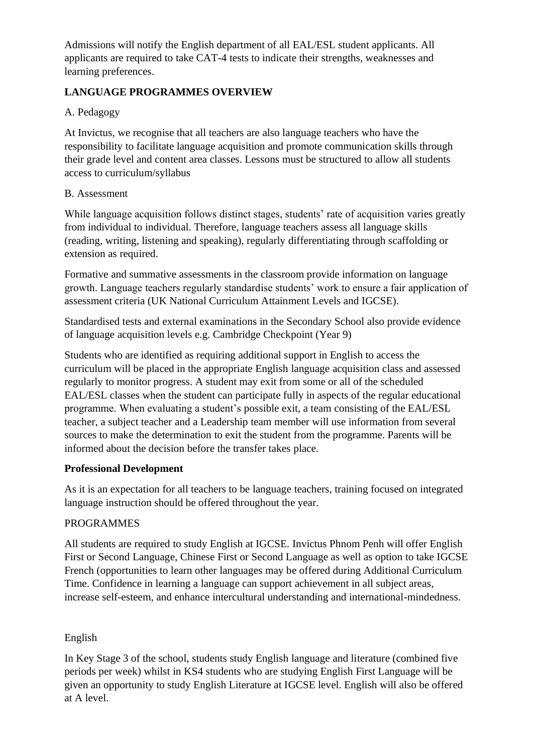Admissions will notify the English department of all EAL/ESL student applicants. All applicants are required to take CAT-4 tests to indicate their strengths, weaknesses and learning preferences.

## **LANGUAGE PROGRAMMES OVERVIEW**

## A. Pedagogy

At Invictus, we recognise that all teachers are also language teachers who have the responsibility to facilitate language acquisition and promote communication skills through their grade level and content area classes. Lessons must be structured to allow all students access to curriculum/syllabus

## B. Assessment

While language acquisition follows distinct stages, students' rate of acquisition varies greatly from individual to individual. Therefore, language teachers assess all language skills (reading, writing, listening and speaking), regularly differentiating through scaffolding or extension as required.

Formative and summative assessments in the classroom provide information on language growth. Language teachers regularly standardise students' work to ensure a fair application of assessment criteria (UK National Curriculum Attainment Levels and IGCSE).

Standardised tests and external examinations in the Secondary School also provide evidence of language acquisition levels e.g. Cambridge Checkpoint (Year 9)

Students who are identified as requiring additional support in English to access the curriculum will be placed in the appropriate English language acquisition class and assessed regularly to monitor progress. A student may exit from some or all of the scheduled EAL/ESL classes when the student can participate fully in aspects of the regular educational programme. When evaluating a student's possible exit, a team consisting of the EAL/ESL teacher, a subject teacher and a Leadership team member will use information from several sources to make the determination to exit the student from the programme. Parents will be informed about the decision before the transfer takes place.

## **Professional Development**

As it is an expectation for all teachers to be language teachers, training focused on integrated language instruction should be offered throughout the year.

## PROGRAMMES

All students are required to study English at IGCSE. Invictus Phnom Penh will offer English First or Second Language, Chinese First or Second Language as well as option to take IGCSE French (opportunities to learn other languages may be offered during Additional Curriculum Time. Confidence in learning a language can support achievement in all subject areas, increase self-esteem, and enhance intercultural understanding and international-mindedness.

## English

In Key Stage 3 of the school, students study English language and literature (combined five periods per week) whilst in KS4 students who are studying English First Language will be given an opportunity to study English Literature at IGCSE level. English will also be offered at A level.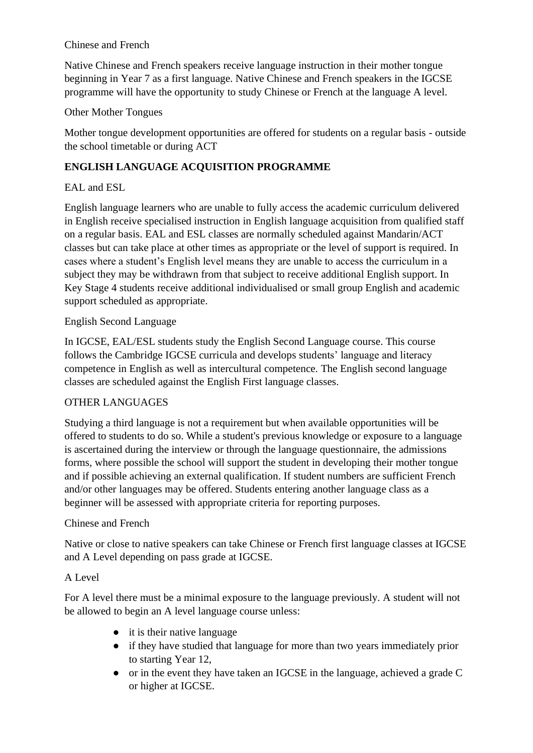### Chinese and French

Native Chinese and French speakers receive language instruction in their mother tongue beginning in Year 7 as a first language. Native Chinese and French speakers in the IGCSE programme will have the opportunity to study Chinese or French at the language A level.

## Other Mother Tongues

Mother tongue development opportunities are offered for students on a regular basis - outside the school timetable or during ACT

## **ENGLISH LANGUAGE ACQUISITION PROGRAMME**

## EAL and ESL

English language learners who are unable to fully access the academic curriculum delivered in English receive specialised instruction in English language acquisition from qualified staff on a regular basis. EAL and ESL classes are normally scheduled against Mandarin/ACT classes but can take place at other times as appropriate or the level of support is required. In cases where a student's English level means they are unable to access the curriculum in a subject they may be withdrawn from that subject to receive additional English support. In Key Stage 4 students receive additional individualised or small group English and academic support scheduled as appropriate.

## English Second Language

In IGCSE, EAL/ESL students study the English Second Language course. This course follows the Cambridge IGCSE curricula and develops students' language and literacy competence in English as well as intercultural competence. The English second language classes are scheduled against the English First language classes.

## OTHER LANGUAGES

Studying a third language is not a requirement but when available opportunities will be offered to students to do so. While a student's previous knowledge or exposure to a language is ascertained during the interview or through the language questionnaire, the admissions forms, where possible the school will support the student in developing their mother tongue and if possible achieving an external qualification. If student numbers are sufficient French and/or other languages may be offered. Students entering another language class as a beginner will be assessed with appropriate criteria for reporting purposes.

## Chinese and French

Native or close to native speakers can take Chinese or French first language classes at IGCSE and A Level depending on pass grade at IGCSE.

## A Level

For A level there must be a minimal exposure to the language previously. A student will not be allowed to begin an A level language course unless:

- it is their native language
- if they have studied that language for more than two years immediately prior to starting Year 12,
- or in the event they have taken an IGCSE in the language, achieved a grade C or higher at IGCSE.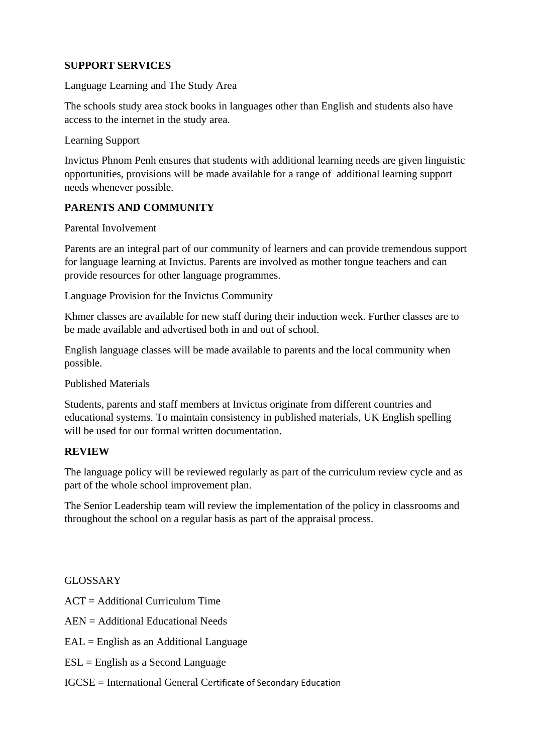### **SUPPORT SERVICES**

Language Learning and The Study Area

The schools study area stock books in languages other than English and students also have access to the internet in the study area.

Learning Support

Invictus Phnom Penh ensures that students with additional learning needs are given linguistic opportunities, provisions will be made available for a range of additional learning support needs whenever possible.

#### **PARENTS AND COMMUNITY**

Parental Involvement

Parents are an integral part of our community of learners and can provide tremendous support for language learning at Invictus. Parents are involved as mother tongue teachers and can provide resources for other language programmes.

Language Provision for the Invictus Community

Khmer classes are available for new staff during their induction week. Further classes are to be made available and advertised both in and out of school.

English language classes will be made available to parents and the local community when possible.

Published Materials

Students, parents and staff members at Invictus originate from different countries and educational systems. To maintain consistency in published materials, UK English spelling will be used for our formal written documentation.

#### **REVIEW**

The language policy will be reviewed regularly as part of the curriculum review cycle and as part of the whole school improvement plan.

The Senior Leadership team will review the implementation of the policy in classrooms and throughout the school on a regular basis as part of the appraisal process.

#### GLOSSARY

ACT = Additional Curriculum Time

AEN = Additional Educational Needs

 $EAL =$  English as an Additional Language

ESL = English as a Second Language

IGCSE = International General Certificate of Secondary Education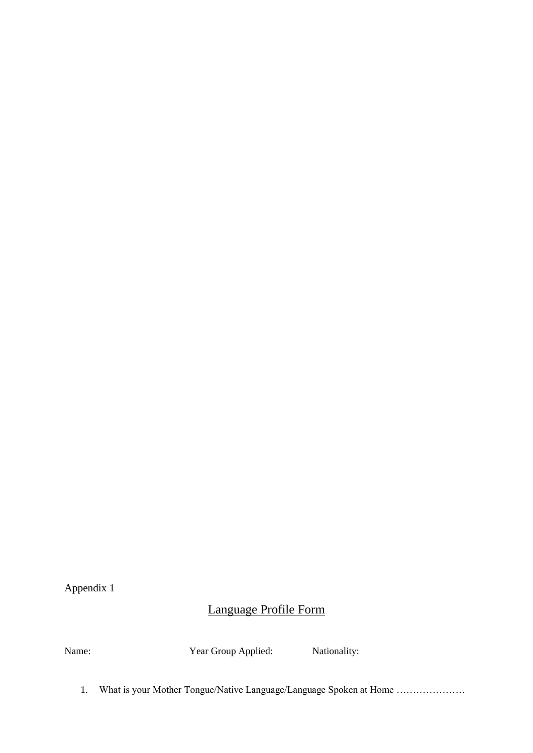Appendix 1

# Language Profile Form

Name: Year Group Applied: Nationality:

1. What is your Mother Tongue/Native Language/Language Spoken at Home …………………